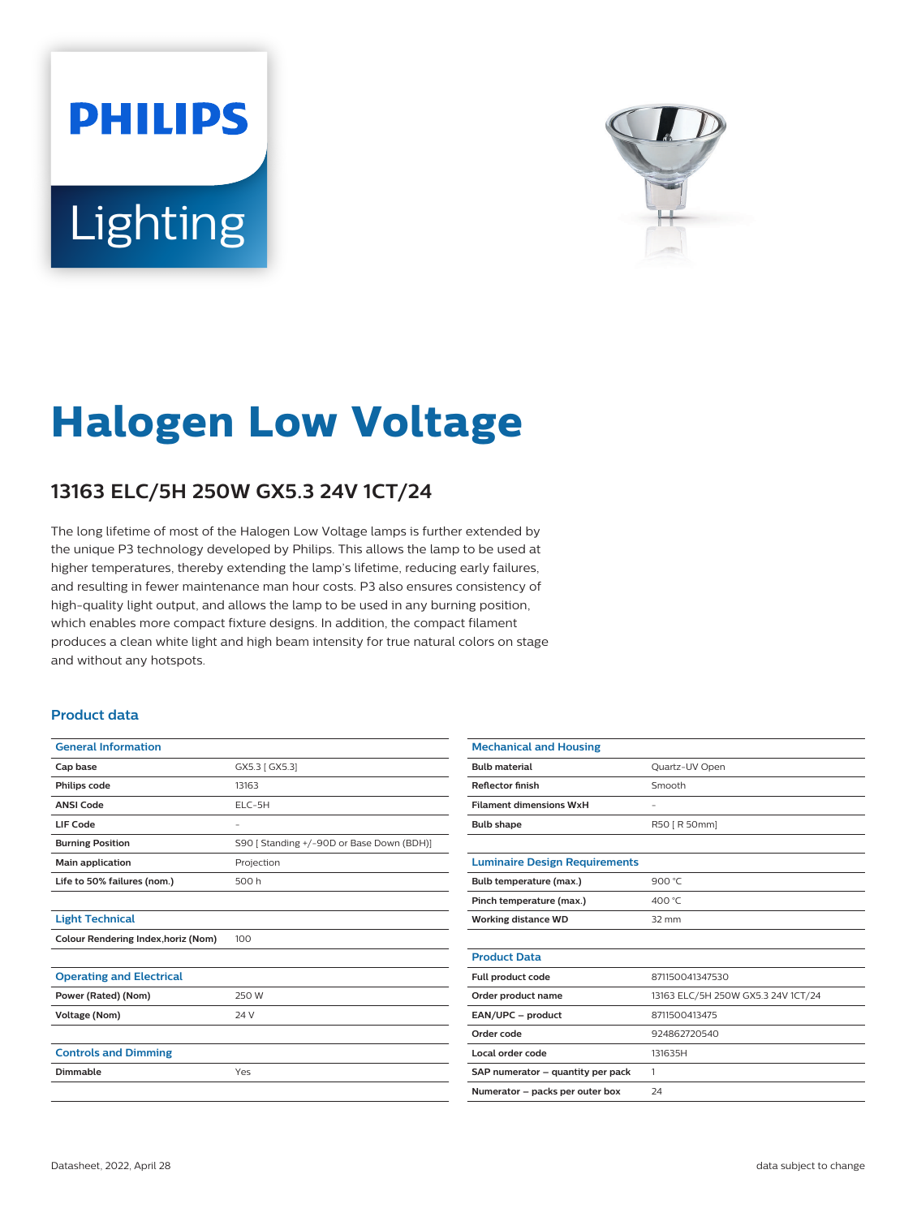# **PHILIPS** Lighting



# **Halogen Low Voltage**

## **13163 ELC/5H 250W GX5.3 24V 1CT/24**

The long lifetime of most of the Halogen Low Voltage lamps is further extended by the unique P3 technology developed by Philips. This allows the lamp to be used at higher temperatures, thereby extending the lamp's lifetime, reducing early failures, and resulting in fewer maintenance man hour costs. P3 also ensures consistency of high-quality light output, and allows the lamp to be used in any burning position, which enables more compact fixture designs. In addition, the compact filament produces a clean white light and high beam intensity for true natural colors on stage and without any hotspots.

#### **Product data**

| <b>General Information</b>          |                                           |
|-------------------------------------|-------------------------------------------|
| Cap base                            | GX5.3 [ GX5.3]                            |
| Philips code                        | 13163                                     |
| <b>ANSI Code</b>                    | $ELC-5H$                                  |
| LIF Code                            | -                                         |
| <b>Burning Position</b>             | S90   Standing +/-90D or Base Down (BDH)] |
| Main application                    | Projection                                |
| Life to 50% failures (nom.)         | 500 h                                     |
|                                     |                                           |
| <b>Light Technical</b>              |                                           |
| Colour Rendering Index, horiz (Nom) | 100                                       |
|                                     |                                           |
| <b>Operating and Electrical</b>     |                                           |
| Power (Rated) (Nom)                 | 250 W                                     |
| <b>Voltage (Nom)</b>                | 24 V                                      |
|                                     |                                           |
| <b>Controls and Dimming</b>         |                                           |
| Dimmable                            | Yes                                       |
|                                     |                                           |

| <b>Mechanical and Housing</b>        |                                    |
|--------------------------------------|------------------------------------|
| <b>Bulb material</b>                 | Quartz-UV Open                     |
| <b>Reflector finish</b>              | Smooth                             |
| <b>Filament dimensions WxH</b>       | ۰                                  |
| <b>Bulb shape</b>                    | R50 [ R 50mm]                      |
|                                      |                                    |
| <b>Luminaire Design Requirements</b> |                                    |
| Bulb temperature (max.)              | 900 °C                             |
| Pinch temperature (max.)             | 400 °C                             |
| <b>Working distance WD</b>           | $32 \, \text{mm}$                  |
|                                      |                                    |
| <b>Product Data</b>                  |                                    |
| Full product code                    | 871150041347530                    |
| Order product name                   | 13163 ELC/5H 250W GX5.3 24V 1CT/24 |
| EAN/UPC - product                    | 8711500413475                      |
| Order code                           | 924862720540                       |
| Local order code                     | 131635H                            |
| SAP numerator - quantity per pack    | 1                                  |
| Numerator - packs per outer box      | 24                                 |
|                                      |                                    |